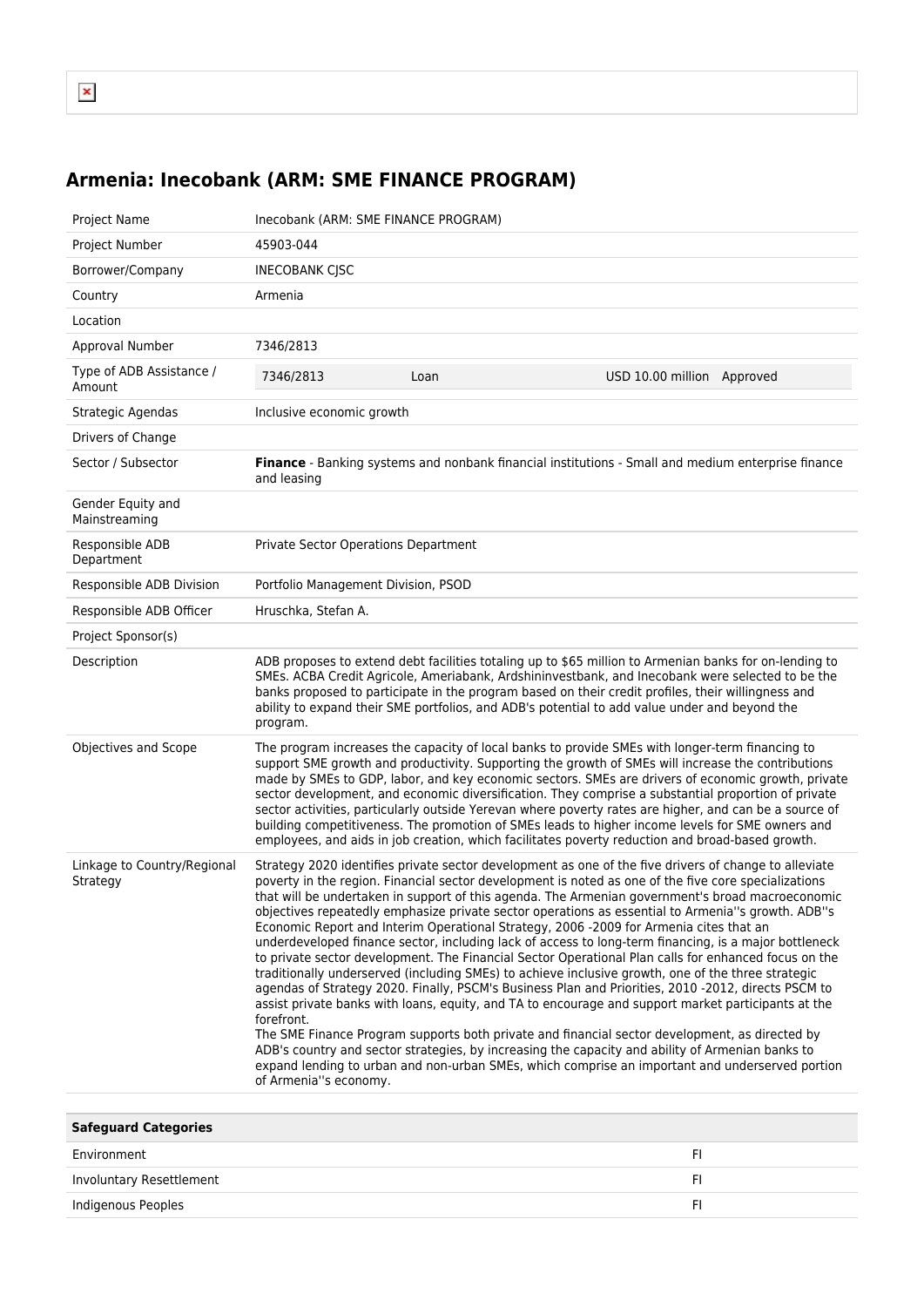## **Armenia: Inecobank (ARM: SME FINANCE PROGRAM)**

| Project Name                            | Inecobank (ARM: SME FINANCE PROGRAM)                                                                                                                                                                                                                                                                                                                                                                                                                                                                                                                                                                                                                                                                                                                                                                                                                                                                                                                                                                                                                                                                                                                                                                                                                                                                                                                                                                  |      |                            |
|-----------------------------------------|-------------------------------------------------------------------------------------------------------------------------------------------------------------------------------------------------------------------------------------------------------------------------------------------------------------------------------------------------------------------------------------------------------------------------------------------------------------------------------------------------------------------------------------------------------------------------------------------------------------------------------------------------------------------------------------------------------------------------------------------------------------------------------------------------------------------------------------------------------------------------------------------------------------------------------------------------------------------------------------------------------------------------------------------------------------------------------------------------------------------------------------------------------------------------------------------------------------------------------------------------------------------------------------------------------------------------------------------------------------------------------------------------------|------|----------------------------|
| Project Number                          | 45903-044                                                                                                                                                                                                                                                                                                                                                                                                                                                                                                                                                                                                                                                                                                                                                                                                                                                                                                                                                                                                                                                                                                                                                                                                                                                                                                                                                                                             |      |                            |
| Borrower/Company                        | <b>INECOBANK CJSC</b>                                                                                                                                                                                                                                                                                                                                                                                                                                                                                                                                                                                                                                                                                                                                                                                                                                                                                                                                                                                                                                                                                                                                                                                                                                                                                                                                                                                 |      |                            |
| Country                                 | Armenia                                                                                                                                                                                                                                                                                                                                                                                                                                                                                                                                                                                                                                                                                                                                                                                                                                                                                                                                                                                                                                                                                                                                                                                                                                                                                                                                                                                               |      |                            |
| Location                                |                                                                                                                                                                                                                                                                                                                                                                                                                                                                                                                                                                                                                                                                                                                                                                                                                                                                                                                                                                                                                                                                                                                                                                                                                                                                                                                                                                                                       |      |                            |
| Approval Number                         | 7346/2813                                                                                                                                                                                                                                                                                                                                                                                                                                                                                                                                                                                                                                                                                                                                                                                                                                                                                                                                                                                                                                                                                                                                                                                                                                                                                                                                                                                             |      |                            |
| Type of ADB Assistance /<br>Amount      | 7346/2813                                                                                                                                                                                                                                                                                                                                                                                                                                                                                                                                                                                                                                                                                                                                                                                                                                                                                                                                                                                                                                                                                                                                                                                                                                                                                                                                                                                             | Loan | USD 10.00 million Approved |
| Strategic Agendas                       | Inclusive economic growth                                                                                                                                                                                                                                                                                                                                                                                                                                                                                                                                                                                                                                                                                                                                                                                                                                                                                                                                                                                                                                                                                                                                                                                                                                                                                                                                                                             |      |                            |
| Drivers of Change                       |                                                                                                                                                                                                                                                                                                                                                                                                                                                                                                                                                                                                                                                                                                                                                                                                                                                                                                                                                                                                                                                                                                                                                                                                                                                                                                                                                                                                       |      |                            |
| Sector / Subsector                      | Finance - Banking systems and nonbank financial institutions - Small and medium enterprise finance<br>and leasing                                                                                                                                                                                                                                                                                                                                                                                                                                                                                                                                                                                                                                                                                                                                                                                                                                                                                                                                                                                                                                                                                                                                                                                                                                                                                     |      |                            |
| Gender Equity and<br>Mainstreaming      |                                                                                                                                                                                                                                                                                                                                                                                                                                                                                                                                                                                                                                                                                                                                                                                                                                                                                                                                                                                                                                                                                                                                                                                                                                                                                                                                                                                                       |      |                            |
| Responsible ADB<br>Department           | Private Sector Operations Department                                                                                                                                                                                                                                                                                                                                                                                                                                                                                                                                                                                                                                                                                                                                                                                                                                                                                                                                                                                                                                                                                                                                                                                                                                                                                                                                                                  |      |                            |
| Responsible ADB Division                | Portfolio Management Division, PSOD                                                                                                                                                                                                                                                                                                                                                                                                                                                                                                                                                                                                                                                                                                                                                                                                                                                                                                                                                                                                                                                                                                                                                                                                                                                                                                                                                                   |      |                            |
| Responsible ADB Officer                 | Hruschka, Stefan A.                                                                                                                                                                                                                                                                                                                                                                                                                                                                                                                                                                                                                                                                                                                                                                                                                                                                                                                                                                                                                                                                                                                                                                                                                                                                                                                                                                                   |      |                            |
| Project Sponsor(s)                      |                                                                                                                                                                                                                                                                                                                                                                                                                                                                                                                                                                                                                                                                                                                                                                                                                                                                                                                                                                                                                                                                                                                                                                                                                                                                                                                                                                                                       |      |                            |
| Description                             | ADB proposes to extend debt facilities totaling up to \$65 million to Armenian banks for on-lending to<br>SMEs. ACBA Credit Agricole, Ameriabank, Ardshininvestbank, and Inecobank were selected to be the<br>banks proposed to participate in the program based on their credit profiles, their willingness and<br>ability to expand their SME portfolios, and ADB's potential to add value under and beyond the<br>program.                                                                                                                                                                                                                                                                                                                                                                                                                                                                                                                                                                                                                                                                                                                                                                                                                                                                                                                                                                         |      |                            |
| Objectives and Scope                    | The program increases the capacity of local banks to provide SMEs with longer-term financing to<br>support SME growth and productivity. Supporting the growth of SMEs will increase the contributions<br>made by SMEs to GDP, labor, and key economic sectors. SMEs are drivers of economic growth, private<br>sector development, and economic diversification. They comprise a substantial proportion of private<br>sector activities, particularly outside Yerevan where poverty rates are higher, and can be a source of<br>building competitiveness. The promotion of SMEs leads to higher income levels for SME owners and<br>employees, and aids in job creation, which facilitates poverty reduction and broad-based growth.                                                                                                                                                                                                                                                                                                                                                                                                                                                                                                                                                                                                                                                                  |      |                            |
| Linkage to Country/Regional<br>Strategy | Strategy 2020 identifies private sector development as one of the five drivers of change to alleviate<br>poverty in the region. Financial sector development is noted as one of the five core specializations<br>that will be undertaken in support of this agenda. The Armenian government's broad macroeconomic<br>objectives repeatedly emphasize private sector operations as essential to Armenia"s growth. ADB"s<br>Economic Report and Interim Operational Strategy, 2006 -2009 for Armenia cites that an<br>underdeveloped finance sector, including lack of access to long-term financing, is a major bottleneck<br>to private sector development. The Financial Sector Operational Plan calls for enhanced focus on the<br>traditionally underserved (including SMEs) to achieve inclusive growth, one of the three strategic<br>agendas of Strategy 2020. Finally, PSCM's Business Plan and Priorities, 2010 -2012, directs PSCM to<br>assist private banks with loans, equity, and TA to encourage and support market participants at the<br>forefront.<br>The SME Finance Program supports both private and financial sector development, as directed by<br>ADB's country and sector strategies, by increasing the capacity and ability of Armenian banks to<br>expand lending to urban and non-urban SMEs, which comprise an important and underserved portion<br>of Armenia"s economy. |      |                            |

| <b>Safeguard Categories</b> |  |
|-----------------------------|--|
| Environment                 |  |
| Involuntary Resettlement    |  |
| Indigenous Peoples          |  |